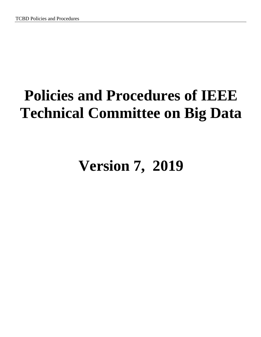# **Policies and Procedures of IEEE Technical Committee on Big Data**

# **Version 7, 2019**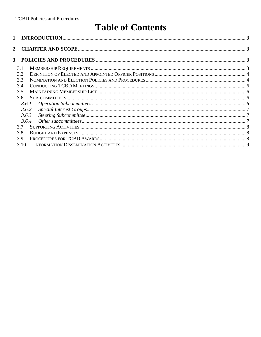# **Table of Contents**

| 1                         |       |  |
|---------------------------|-------|--|
| $\mathbf{2}^{\mathsf{I}}$ |       |  |
| 3                         |       |  |
|                           | 3.1   |  |
|                           | 3.2   |  |
|                           | 3.3   |  |
|                           | 3.4   |  |
|                           | 3.5   |  |
|                           | 3.6   |  |
|                           | 3.6.1 |  |
|                           | 3.6.2 |  |
|                           | 3.6.3 |  |
|                           | 3.6.4 |  |
|                           | 3.7   |  |
|                           | 3.8   |  |
|                           | 3.9   |  |
|                           | 3.10  |  |
|                           |       |  |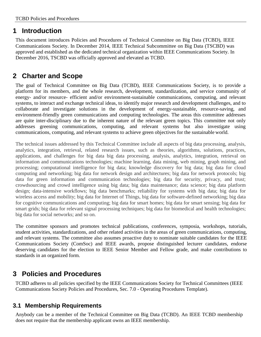### <span id="page-2-0"></span>**1 Introduction**

This document introduces Policies and Procedures of Technical Committee on Big Data (TCBD), IEEE Communications Society. In December 2014, IEEE Technical Subcommittee on Big Data (TSCBD) was approved and established as the dedicated technical organization within IEEE Communications Society. In December 2016, TSCBD was officially approved and elevated as TCBD.

## <span id="page-2-1"></span>**2 Charter and Scope**

The goal of Technical Committee on Big Data (TCBD), IEEE Communications Society, is to provide a platform for its members, and the whole research, development, standardization, and service community of energy- and/or resource- efficient and/or environment-sustainable communications, computing, and relevant systems, to interact and exchange technical ideas, to identify major research and development challenges, and to collaborate and investigate solutions in the development of energy-sustainable, resource-saving, and environment-friendly green communications and computing technologies. The areas this committee addresses are quite inter-disciplinary due to the inherent nature of the relevant green topics. This committee not only addresses greening communications, computing, and relevant systems but also investigate using communications, computing, and relevant systems to achieve green objectives for the sustainable world.

The technical issues addressed by this Technical Committee include all aspects of big data processing, analysis, analytics, integration, retrieval, related research issues, such as theories, algorithms, solutions, practices, applications, and challenges for big data big data processing, analysis, analytics, integration, retrieval on information and communications technologies; machine learning, data mining, web mining, graph mining, and processing; computational intelligence for big data; knowledge discovery for big data; big data for cloud computing and networking; big data for network design and architectures; big data for network protocols; big data for green information and communication technologies; big data for security, privacy, and trust; crowdsourcing and crowd intelligence using big data; big data maintenance; data science; big data platform design; data-intensive workflows; big data benchmarks; reliability for systems with big data; big data for wireless access and mobility; big data for Internet of Things, big data for software-defined networking; big data for cognitive communications and computing; big data for smart homes; big data for smart sensing; big data for smart grids; big data for relevant signal processing techniques; big data for biomedical and health technologies; big data for social networks; and so on.

The committee sponsors and promotes technical publications, conferences, symposia, workshops, tutorials, student activities, standardizations, and other related activities in the areas of green communications, computing, and relevant systems. The committee also assumes proactive duty to nominate suitable candidates for the IEEE Communications Society (ComSoc) and IEEE awards, propose distinguished lecturer candidates, endorse deserving candidates for the election to IEEE Senior Member and Fellow grade, and make contributions to standards in an organized form.

## <span id="page-2-2"></span>**3 Policies and Procedures**

TCBD adheres to all policies specified by the IEEE Communications Society for Technical Committees (IEEE Communications Society Policies and Procedures, Sec. 7.0 - Operating Procedures Template).

#### <span id="page-2-3"></span>**3.1 Membership Requirements**

Anybody can be a member of the Technical Committee on Big Data (TCBD). An IEEE TCBD membership does not require that the membership applicant owns an IEEE membership.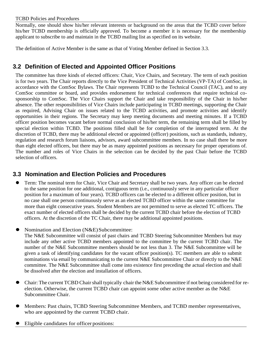#### TCBD Policies and Procedures

Normally, one should show his/her relevant interests or background on the areas that the TCBD cover before his/her TCBD membership is officially approved. To become a member it is necessary for the membership applicant to subscribe to and maintain in the TCBD mailing list as specified on its website.

The definition of Active Member is the same as that of Voting Member defined in Section 3.3.

#### <span id="page-3-0"></span>**3.2 Definition of Elected and Appointed Officer Positions**

The committee has three kinds of elected officers: Chair, Vice Chairs, and Secretary. The term of each position is for two years. The Chair reports directly to the Vice President of Technical Activities (VP-TA) of ComSoc, in accordance with the ComSoc Bylaws. The Chair represents TCBD to the Technical Council (TAC), and to any ComSoc committee or board, and provides endorsement for technical conferences that require technical cosponsorship to ComSoc. The Vice Chairs support the Chair and take responsibility of the Chair in his/her absence. The other responsibilities of Vice Chairs include participating in TCBD meetings, supporting the Chair as required, Advising Chair on issues related to the TCBD activities, and promote activities and identify opportunities in their regions. The Secretary may keep meeting documents and meeting minutes. If a TCBD officer position becomes vacant before normal conclusion of his/her term, the remaining term shall be filled by special election within TCBD. The positions filled shall be for completion of the interrupted term. At the discretion of TCBD, there may be additional elected or appointed (officer) positions, such as standards, industry, regulation and research forum liaisons, advisors, award subcommittee members. In no case shall there be more than eight elected officers, but there may be as many appointed positions as necessary for proper operations of. The number and roles of Vice Chairs in the selection can be decided by the past Chair before the TCBD selection of officers.

#### <span id="page-3-1"></span>**3.3 Nomination and Election Policies and Procedures**

- Term: The nominal term for Chair, Vice Chair and Secretary shall be two years. Any officer can be elected to the same position for one additional, contiguous term (i.e., continuously serve in any particular officer position for a maximum of four years). TCBD officers can be elected to a different officer position, but in no case shall one person continuously serve as an elected TCBD officer within the same committee for more than eight consecutive years. Student Members are not permitted to serve as elected TC officers. The exact number of elected officers shall be decided by the current TCBD chair before the election of TCBD officers. At the discretion of the TC Chair, there may be additional appointed positions.
- Nomination and Election (N&E)Subcommittee:

The N&E Subcommittee will consist of past chairs and TCBD Steering Subcommittee Members but may include any other active TCBD members appointed to the committee by the current TCBD chair. The number of the N&E Subcommittee members should be not less than 3. The N&E Subcommittee will be given a task of identifying candidates for the vacant officer position(s). TC members are able to submit nominations via email by communicating to the current N&E Subcommittee Chair or directly to the N&E committee. The N&E Subcommittee shall come into existence first preceding the actual election and shall be dissolved after the election and installation of officers.

- Chair: The current TCBD Chair shall typically chair the N&E Subcommittee if not being considered for reelection. Otherwise, the current TCBD chair can appoint some other active member as the N&E Subcommittee Chair.
- Members: Past chairs, TCBD Steering Subcommittee Members, and TCBD member representatives, who are appointed by the current TCBD chair.
- Eligible candidates for officer positions: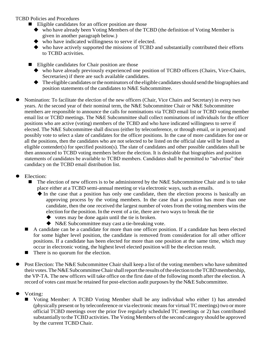#### TCBD Policies and Procedures

- $\blacksquare$  Eligible candidates for an officer position are those
	- who have already been Voting Members of the TCBD (the definition of Voting Member is given in another paragraph below.)
	- who have indicated willingness to serve if elected.
	- who have actively supported the missions of TCBD and substantially contributed their efforts to TCBD activities.
- Eligible candidates for Chair position are those
	- who have already previously experienced one position of TCBD officers (Chairs, Vice-Chairs, Secretaries) if there are such available candidates.
	- $\blacklozenge$  The eligible candidates or the nominators of the eligible candidates should send the biographies and position statements of the candidates to N&E Subcommittee.
- Nomination: To facilitate the election of the new officers (Chair, Vice Chairs and Secretary) in every two years. At the second year of their nominal term, the N&E Subcommittee Chair or N&E Subcommittee members are responsible to announce the calls for nominations via TCBD email list or TCBD voting member email list or TCBD meetings. The N&E Subcommittee shall collect nominations of individuals for the officer positions who are active (voting) members of the TCBD and who have indicated willingness to serve if elected. The N&E Subcommittee shall discuss (either by teleconference, or through email, or in person) and possibly vote to select a slate of candidates for the officer positions. In the case of more candidates for one or all the positions, then the candidates who are not selected to be listed on the official slate will be listed as eligible contender(s) for specified position(s). The slate of candidates and other possible candidates shall be then announced to TCBD voting members before the election. It is desirable that biographies and position statements of candidates be available to TCBD members. Candidates shall be permitted to "advertise" their candidacy on the TCBD email distribution list.

#### Election:

- The election of new officers is to be administered by the N&E Subcommittee Chair and is to take place either at a TCBD semi-annual meeting or via electronic ways, such as emails.
	- $\blacklozenge$  In the case that a position has only one candidate, then the election process is basically an approving process by the voting members. In the case that a position has more than one candidate, then the one received the largest number of votes from the voting members wins the election forthe position.In the event of a tie, there are two ways to break the tie
		- $\blacklozenge$  votes may be done again until the tie is broken.
		- ◆ N&E Subcommittee may cast a tie-breaking vote.
- A candidate can be a candidate for more than one officer position. If a candidate has been elected for some higher level position, the candidate is removed from consideration for all other officer positions. If a candidate has been elected for more than one position at the same time, which may occur in electronic voting, the highest level elected position will be the election result.
- There is no quorum for the election.
- Post Election: The N&E Subcommittee Chair shall keep a list of the voting members who have submitted their votes. The N&E Subcommittee Chair shall report the results of the election to the TCBD membership, the VP-TA. The new officers will take office on the first date of the following month after the election. A record of votes cast must be retained for post-election audit purposes by the N&E Subcommittee.
- Voting:
	- Voting Member: A TCBD Voting Member shall be any individual who either 1) has attended (physically present or by teleconference or via electronic meansfor virtual TC meetings) two or more official TCBD meetings over the prior five regularly scheduled TC meetings or 2) has contributed substantially to the TCBD activities. The Voting Members of the second category should be approved by the current TCBD Chair.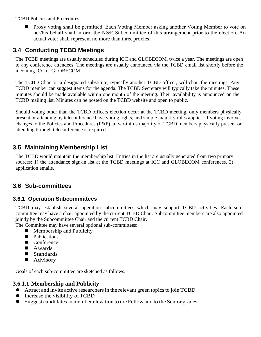#### TCBD Policies and Procedures

**Proxy voting shall be permitted. Each Voting Member asking another Voting Member to vote on** her/his behalf shall inform the N&E Subcommittee of this arrangement prior to the election. An actual voter shall represent no more than three proxies.

#### <span id="page-5-0"></span>**3.4 Conducting TCBD Meetings**

The TCBD meetings are usually scheduled during ICC and GLOBECOM, twice a year. The meetings are open to any conference attendees. The meetings are usually announced via the TCBD email list shortly before the incoming ICC or GLOBECOM.

The TCBD Chair or a designated substitute, typically another TCBD officer, will chair the meetings. Any TCBD member can suggest items for the agenda. The TCBD Secretary will typically take the minutes. These minutes should be made available within one month of the meeting. Their availability is announced on the TCBD mailing list. Minutes can be posted on the TCBD website and open to public.

Should voting other than the TCBD officers election occur at the TCBD meeting, only members physically present or attending by teleconference have voting rights, and simple majority rules applies. If voting involves changes to the Policies and Procedures (P&P), a two-thirds majority of TCBD members physically present or attending through teleconference is required.

#### <span id="page-5-1"></span>**3.5 Maintaining Membership List**

The TCBD would maintain the membership list. Entries in the list are usually generated from two primary sources: 1) the attendance sign-in list at the TCBD meetings at ICC and GLOBECOM conferences, 2) application emails.

#### <span id="page-5-2"></span>**3.6 Sub-committees**

#### <span id="page-5-3"></span>**3.6.1 Operation Subcommittees**

TCBD may establish several operation subcommittees which may support TCBD activities. Each subcommittee may have a chair appointed by the current TCBD Chair. Subcommittee members are also appointed jointly by the Subcommittee Chair and the current TCBD Chair.

The Committee may have several optional sub-committees:

- **Membership and Publicity**
- **Publications**
- Conference
- **Awards**
- Standards
- Advisory

Goals of each sub-committee are sketched as follows.

#### **3.6.1.1 Membership and Publicity**

- Attract and invite active researchers in the relevant green topics to join TCBD
- Increase the visibility ofTCBD
- Suggest candidatesin member elevation to the Fellow and to the Senior grades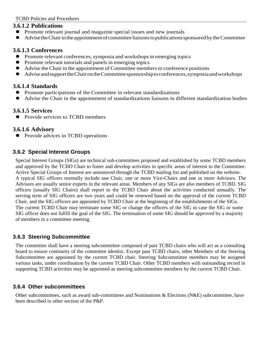#### **3.6.1.2 Publications**

- Promote relevant journal and magazine special issues and new journals
- Advise the Chair in the appointment of committee liaisons to publications sponsored by the Committee

#### **3.6.1.3 Conferences**

- Promote relevant conferences, symposia and workshops in emerging topics
- Promote relevant tutorials and panels in emerging topics
- Advise the Chair in the appointment of Committee membersto conference positions
- Advise and support the Chairon the Committee sponsorship to conferences, symposia and workshops

#### **3.6.1.4 Standards**

- Promote participations of the Committee in relevant standardizations
- Advise the Chair in the appointment of standardizations liaisons in different standardization bodies

#### **3.6.1.5 Services**

• Provide services to TCBD members

#### **3.6.1.6 Advisory**

**•** Provide advices in TCBD operations

#### <span id="page-6-0"></span>**3.6.2 Special Interest Groups**

Special Interest Groups (SIGs) are technical sub-committees proposed and established by some TCBD members and approved by the TCBD Chair to foster and develop activities in specific areas of interest to the Committee. Active Special Groups of Interest are announced through the TCBD mailing list and published on the website. A typical SIG officers normally include one Chair, one or more Vice-Chairs and one or more Advisors. The Advisors are usually senior experts in the relevant areas. Members of any SIGs are also members of TCBD. SIG officers (usually SIG Chairs) shall report to the TCBD Chair about the activities conducted annually. The serving term of SIG officers are two years and could be renewed based on the approval of the current TCBD Chair, and the SIG officers are appointed by TCBD Chair at the beginning of the establishments of the SIGs. The current TCBD Chair may terminate some SIG or change the officers of the SIG in case the SIG or some SIG officer does not fulfill the goal of the SIG. The termination of some SIG should be approved by a majority of members in a committee meeting.

#### <span id="page-6-1"></span>**3.6.3 Steering Subcommittee**

The committee shall have a steering subcommittee composed of past TCBD chairs who will act as a consulting board to ensure continuity of the committee identity. Except past TCBD chairs, other Members of the Steering Subcommittee are appointed by the current TCBD chair. Steering Subcommittee members may be assigned various tasks, under coordination by the current TCBD Chair. Other TCBD members with outstanding record in supporting TCBD activities may be appointed as steering subcommittee members by the current TCBD Chair.

#### <span id="page-6-2"></span>**3.6.4 Other subcommittees**

Other subcommittees, such as award sub-committees and Nominations & Elections (N&E) subcommittee, have been described in other section of the P&P.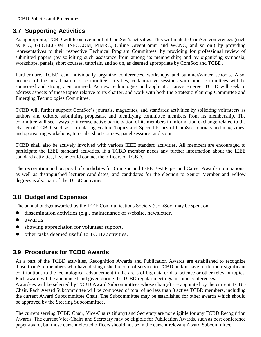#### <span id="page-7-0"></span>**3.7 Supporting Activities**

As appropriate, TCBD will be active in all of ComSoc's activities. This will include ComSoc conferences (such as ICC, GLOBECOM, INFOCOM, PIMRC, Online GreenComm and WCNC, and so on.) by providing representatives to their respective Technical Program Committees, by providing for professional review of submitted papers (by soliciting such assistance from among its membership) and by organizing symposia, workshops, panels, short courses, tutorials, and so on, as deemed appropriate by ComSoc and TCBD.

Furthermore, TCBD can individually organize conferences, workshops and summer/winter schools. Also, because of the broad nature of committee activities, collaborative sessions with other committees will be sponsored and strongly encouraged. As new technologies and application areas emerge, TCBD will seek to address aspects of these topics relative to its charter, and work with both the Strategic Planning Committee and Emerging Technologies Committee.

TCBD will further support ComSoc's journals, magazines, and standards activities by soliciting volunteers as authors and editors, submitting proposals, and identifying committee members from its membership. The committee will seek ways to increase active participation of its members in information exchange related to the charter of TCBD, such as: stimulating Feature Topics and Special Issues of ComSoc journals and magazines; and sponsoring workshops, tutorials, short courses, panel sessions, and so on.

TCBD shall also be actively involved with various IEEE standard activities. All members are encouraged to participate the IEEE standard activities. If a TCBD member needs any further information about the IEEE standard activities, he/she could contact the officers of TCBD.

The recognition and proposal of candidates for ComSoc and IEEE Best Paper and Career Awards nominations, as well as distinguished lecturer candidates, and candidates for the election to Senior Member and Fellow degrees is also part of the TCBD activities.

#### <span id="page-7-1"></span>**3.8 Budget and Expenses**

The annual budget awarded by the IEEE Communications Society (ComSoc) may be spent on:

- dissemination activities (e.g., maintenance of website, newsletter,
- awards
- showing appreciation for volunteer support,
- other tasks deemed useful to TCBD activities.

#### <span id="page-7-2"></span>**3.9 Procedures for TCBD Awards**

As a part of the TCBD activities, Recognition Awards and Publication Awards are established to recognize those ComSoc members who have distinguished record of service to TCBD and/or have made their significant contributions to the technological advancement in the areas of big data or data science or other relevant topics. Each award will be announced and given during the TCBD regular meetings in some conferences.

Awardees will be selected by TCBD Award Subcommittees whose chair(s) are appointed by the current TCBD Chair. Each Award Subcommittee will be composed of total of no less than 3 active TCBD members, including the current Award Subcommittee Chair. The Subcommittee may be established for other awards which should be approved by the Steering Subcommittee.

The current serving TCBD Chair, Vice-Chairs (if any) and Secretary are not eligible for any TCBD Recognition Awards. The current Vice-Chairs and Secretary may be eligible for Publication Awards, such as best conference paper award, but those current elected officers should not be in the current relevant Award Subcommittee.